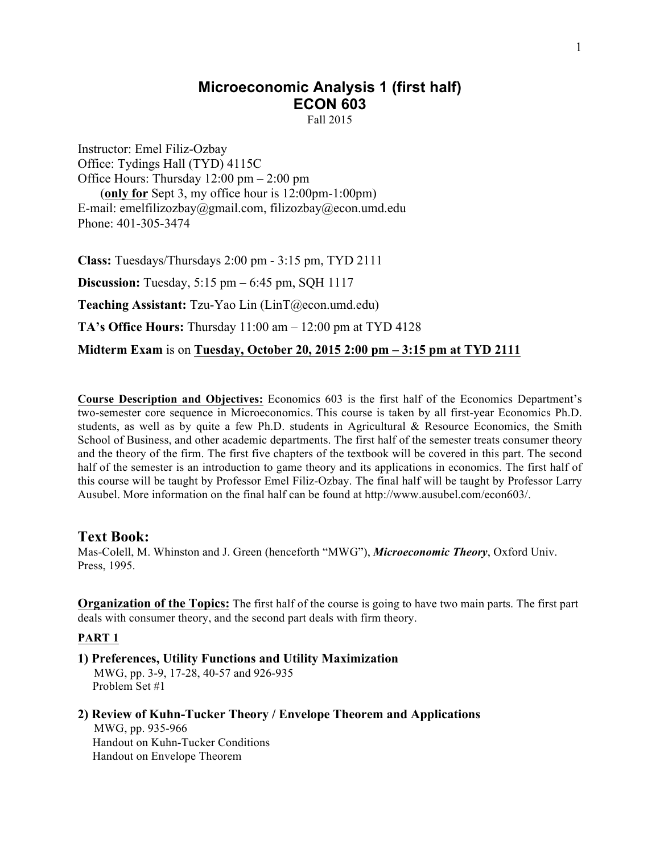# **Microeconomic Analysis 1 (first half) ECON 603**

Fall 2015

Instructor: Emel Filiz-Ozbay Office: Tydings Hall (TYD) 4115C Office Hours: Thursday 12:00 pm – 2:00 pm (**only for** Sept 3, my office hour is 12:00pm-1:00pm) E-mail: emelfilizozbay@gmail.com, filizozbay@econ.umd.edu Phone: 401-305-3474

**Class:** Tuesdays/Thursdays 2:00 pm - 3:15 pm, TYD 2111 **Discussion:** Tuesday, 5:15 pm – 6:45 pm, SQH 1117 **Teaching Assistant:** Tzu-Yao Lin (LinT@econ.umd.edu) **TA's Office Hours:** Thursday 11:00 am – 12:00 pm at TYD 4128 **Midterm Exam** is on **Tuesday, October 20, 2015 2:00 pm – 3:15 pm at TYD 2111**

**Course Description and Objectives:** Economics 603 is the first half of the Economics Department's two-semester core sequence in Microeconomics. This course is taken by all first-year Economics Ph.D. students, as well as by quite a few Ph.D. students in Agricultural & Resource Economics, the Smith School of Business, and other academic departments. The first half of the semester treats consumer theory and the theory of the firm. The first five chapters of the textbook will be covered in this part. The second half of the semester is an introduction to game theory and its applications in economics. The first half of this course will be taught by Professor Emel Filiz-Ozbay. The final half will be taught by Professor Larry Ausubel. More information on the final half can be found at http://www.ausubel.com/econ603/.

#### **Text Book:**

Mas-Colell, M. Whinston and J. Green (henceforth "MWG"), *Microeconomic Theory*, Oxford Univ. Press, 1995.

**Organization of the Topics:** The first half of the course is going to have two main parts. The first part deals with consumer theory, and the second part deals with firm theory.

#### **PART 1**

- **1) Preferences, Utility Functions and Utility Maximization** MWG, pp. 3-9, 17-28, 40-57 and 926-935 Problem Set #1
- **2) Review of Kuhn-Tucker Theory / Envelope Theorem and Applications** MWG, pp. 935-966 Handout on Kuhn-Tucker Conditions Handout on Envelope Theorem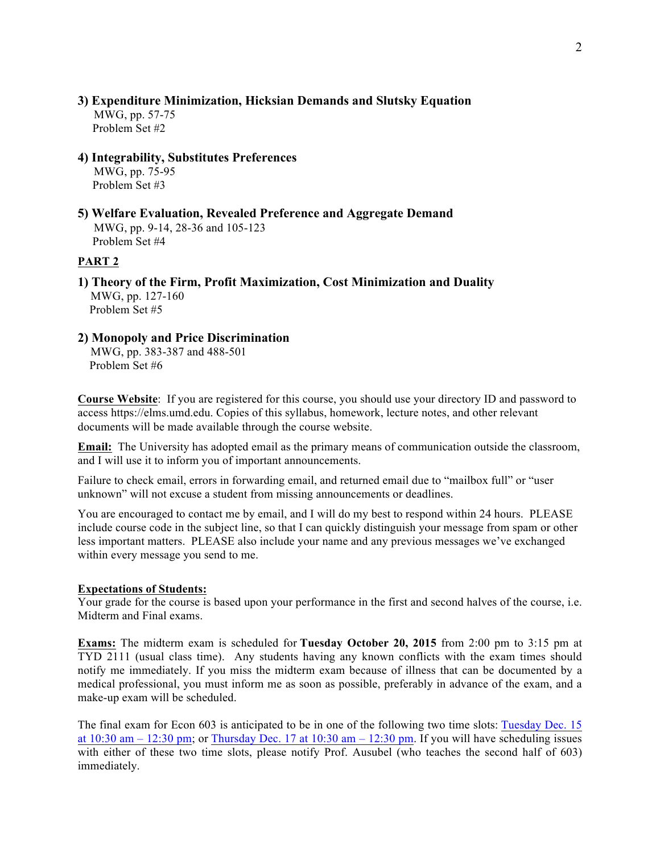# **3) Expenditure Minimization, Hicksian Demands and Slutsky Equation**

 MWG, pp. 57-75 Problem Set #2

#### **4) Integrability, Substitutes Preferences**

 MWG, pp. 75-95 Problem Set #3

**5) Welfare Evaluation, Revealed Preference and Aggregate Demand** MWG, pp. 9-14, 28-36 and 105-123 Problem Set #4

#### **PART 2**

**1) Theory of the Firm, Profit Maximization, Cost Minimization and Duality** MWG, pp. 127-160 Problem Set #5

# **2) Monopoly and Price Discrimination**

 MWG, pp. 383-387 and 488-501 Problem Set #6

**Course Website**: If you are registered for this course, you should use your directory ID and password to access https://elms.umd.edu. Copies of this syllabus, homework, lecture notes, and other relevant documents will be made available through the course website.

**Email:** The University has adopted email as the primary means of communication outside the classroom, and I will use it to inform you of important announcements.

Failure to check email, errors in forwarding email, and returned email due to "mailbox full" or "user unknown" will not excuse a student from missing announcements or deadlines.

You are encouraged to contact me by email, and I will do my best to respond within 24 hours. PLEASE include course code in the subject line, so that I can quickly distinguish your message from spam or other less important matters. PLEASE also include your name and any previous messages we've exchanged within every message you send to me.

#### **Expectations of Students:**

Your grade for the course is based upon your performance in the first and second halves of the course, i.e. Midterm and Final exams.

**Exams:** The midterm exam is scheduled for **Tuesday October 20, 2015** from 2:00 pm to 3:15 pm at TYD 2111 (usual class time). Any students having any known conflicts with the exam times should notify me immediately. If you miss the midterm exam because of illness that can be documented by a medical professional, you must inform me as soon as possible, preferably in advance of the exam, and a make-up exam will be scheduled.

The final exam for Econ 603 is anticipated to be in one of the following two time slots: Tuesday Dec. 15 at  $10:30$  am  $- 12:30$  pm; or Thursday Dec. 17 at  $10:30$  am  $- 12:30$  pm. If you will have scheduling issues with either of these two time slots, please notify Prof. Ausubel (who teaches the second half of 603) immediately.